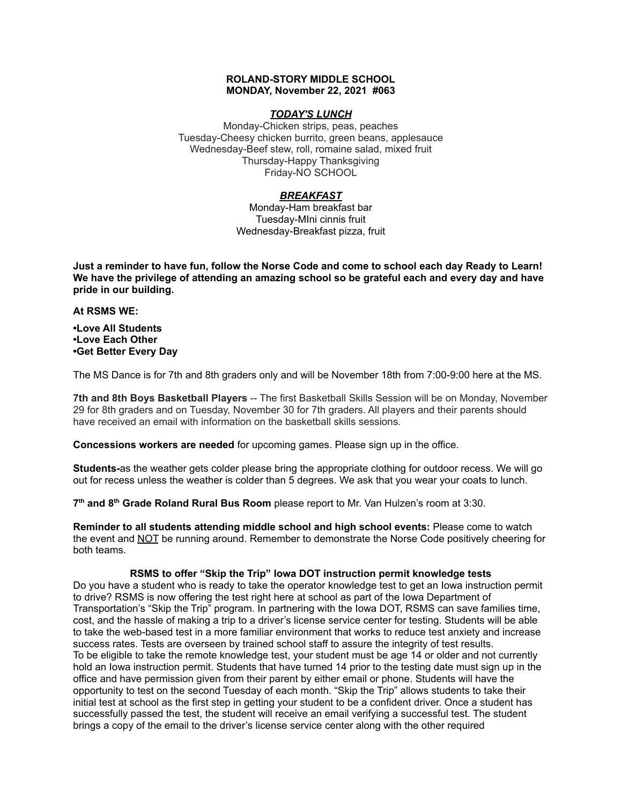### **ROLAND-STORY MIDDLE SCHOOL MONDAY, November 22, 2021 #063**

## *TODAY'S LUNCH*

Monday-Chicken strips, peas, peaches Tuesday-Cheesy chicken burrito, green beans, applesauce Wednesday-Beef stew, roll, romaine salad, mixed fruit Thursday-Happy Thanksgiving Friday-NO SCHOOL

## *BREAKFAST*

Monday-Ham breakfast bar Tuesday-MIni cinnis fruit Wednesday-Breakfast pizza, fruit

Just a reminder to have fun, follow the Norse Code and come to school each day Ready to Learn! **We have the privilege of attending an amazing school so be grateful each and every day and have pride in our building.**

#### **At RSMS WE:**

**•Love All Students •Love Each Other •Get Better Every Day**

The MS Dance is for 7th and 8th graders only and will be November 18th from 7:00-9:00 here at the MS.

**7th and 8th Boys Basketball Players** -- The first Basketball Skills Session will be on Monday, November 29 for 8th graders and on Tuesday, November 30 for 7th graders. All players and their parents should have received an email with information on the basketball skills sessions.

**Concessions workers are needed** for upcoming games. Please sign up in the office.

**Students-**as the weather gets colder please bring the appropriate clothing for outdoor recess. We will go out for recess unless the weather is colder than 5 degrees. We ask that you wear your coats to lunch.

**7 th and 8 th Grade Roland Rural Bus Room** please report to Mr. Van Hulzen's room at 3:30.

**Reminder to all students attending middle school and high school events:** Please come to watch the event and NOT be running around. Remember to demonstrate the Norse Code positively cheering for both teams.

## **RSMS to offer "Skip the Trip" Iowa DOT instruction permit knowledge tests**

Do you have a student who is ready to take the operator knowledge test to get an Iowa instruction permit to drive? RSMS is now offering the test right here at school as part of the Iowa Department of Transportation's "Skip the Trip" program. In partnering with the Iowa DOT, RSMS can save families time, cost, and the hassle of making a trip to a driver's license service center for testing. Students will be able to take the web-based test in a more familiar environment that works to reduce test anxiety and increase success rates. Tests are overseen by trained school staff to assure the integrity of test results. To be eligible to take the remote knowledge test, your student must be age 14 or older and not currently hold an Iowa instruction permit. Students that have turned 14 prior to the testing date must sign up in the office and have permission given from their parent by either email or phone. Students will have the opportunity to test on the second Tuesday of each month. "Skip the Trip" allows students to take their initial test at school as the first step in getting your student to be a confident driver. Once a student has successfully passed the test, the student will receive an email verifying a successful test. The student brings a copy of the email to the driver's license service center along with the other required